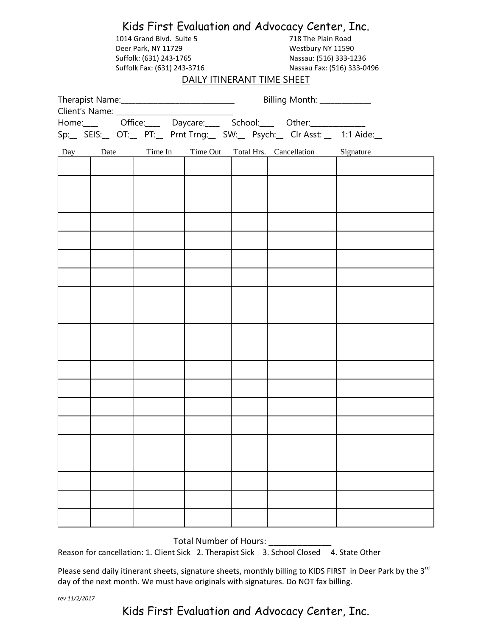|                                                                       |      | 1014 Grand Blvd. Suite 5<br>Deer Park, NY 11729<br>Suffolk: (631) 243-1765<br>Suffolk Fax: (631) 243-3716 |  | Kids First Evaluation and Advocacy Center, Inc.<br>718 The Plain Road<br>Westbury NY 11590<br>Nassau: (516) 333-1236<br>Nassau Fax: (516) 333-0496<br>DAILY ITINERANT TIME SHEET |                                  |           |  |  |  |
|-----------------------------------------------------------------------|------|-----------------------------------------------------------------------------------------------------------|--|----------------------------------------------------------------------------------------------------------------------------------------------------------------------------------|----------------------------------|-----------|--|--|--|
|                                                                       |      |                                                                                                           |  | Billing Month: ____________                                                                                                                                                      |                                  |           |  |  |  |
|                                                                       |      |                                                                                                           |  |                                                                                                                                                                                  |                                  |           |  |  |  |
| Sp:_ SEIS:_ OT:_ PT:_ Prnt Trng:_ SW:_ Psych:_ Clr Asst: _ 1:1 Aide:_ |      |                                                                                                           |  |                                                                                                                                                                                  |                                  |           |  |  |  |
| Day                                                                   | Date | Time In                                                                                                   |  |                                                                                                                                                                                  | Time Out Total Hrs. Cancellation | Signature |  |  |  |
|                                                                       |      |                                                                                                           |  |                                                                                                                                                                                  |                                  |           |  |  |  |
|                                                                       |      |                                                                                                           |  |                                                                                                                                                                                  |                                  |           |  |  |  |
|                                                                       |      |                                                                                                           |  |                                                                                                                                                                                  |                                  |           |  |  |  |
|                                                                       |      |                                                                                                           |  |                                                                                                                                                                                  |                                  |           |  |  |  |
|                                                                       |      |                                                                                                           |  |                                                                                                                                                                                  |                                  |           |  |  |  |
|                                                                       |      |                                                                                                           |  |                                                                                                                                                                                  |                                  |           |  |  |  |
|                                                                       |      |                                                                                                           |  |                                                                                                                                                                                  |                                  |           |  |  |  |
|                                                                       |      |                                                                                                           |  |                                                                                                                                                                                  |                                  |           |  |  |  |
|                                                                       |      |                                                                                                           |  |                                                                                                                                                                                  |                                  |           |  |  |  |
|                                                                       |      |                                                                                                           |  |                                                                                                                                                                                  |                                  |           |  |  |  |
|                                                                       |      |                                                                                                           |  |                                                                                                                                                                                  |                                  |           |  |  |  |
|                                                                       |      |                                                                                                           |  |                                                                                                                                                                                  |                                  |           |  |  |  |
|                                                                       |      |                                                                                                           |  |                                                                                                                                                                                  |                                  |           |  |  |  |
|                                                                       |      |                                                                                                           |  |                                                                                                                                                                                  |                                  |           |  |  |  |
|                                                                       |      |                                                                                                           |  |                                                                                                                                                                                  |                                  |           |  |  |  |
|                                                                       |      |                                                                                                           |  |                                                                                                                                                                                  |                                  |           |  |  |  |
|                                                                       |      |                                                                                                           |  |                                                                                                                                                                                  |                                  |           |  |  |  |
|                                                                       |      |                                                                                                           |  |                                                                                                                                                                                  |                                  |           |  |  |  |
|                                                                       |      |                                                                                                           |  |                                                                                                                                                                                  |                                  |           |  |  |  |
|                                                                       |      |                                                                                                           |  |                                                                                                                                                                                  |                                  |           |  |  |  |

Total Number of Hours: \_\_\_\_

Reason for cancellation: 1. Client Sick 2. Therapist Sick 3. School Closed 4. State Other

Please send daily itinerant sheets, signature sheets, monthly billing to KIDS FIRST in Deer Park by the 3<sup>rd</sup> day of the next month. We must have originals with signatures. Do NOT fax billing.

*rev 11/2/2017*

Kids First Evaluation and Advocacy Center, Inc.